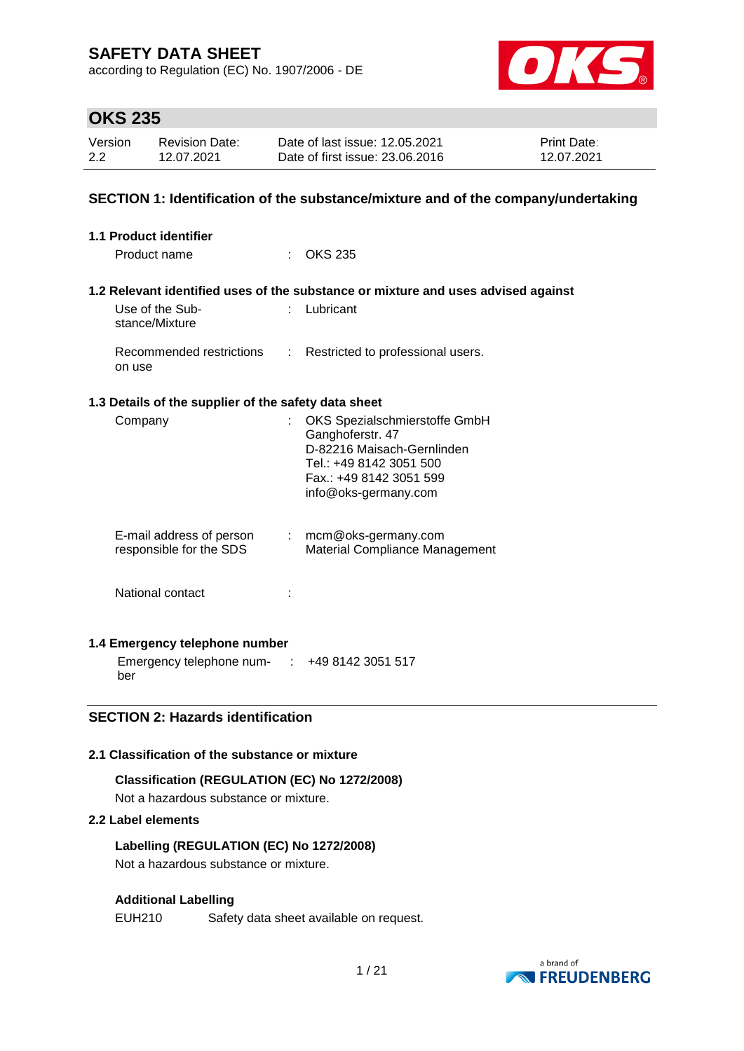according to Regulation (EC) No. 1907/2006 - DE



## **OKS 235**

| Version | Revision Date: | Date of last issue: 12.05.2021  | <b>Print Date:</b> |
|---------|----------------|---------------------------------|--------------------|
| 2.2     | 12.07.2021     | Date of first issue: 23.06.2016 | 12.07.2021         |

### **SECTION 1: Identification of the substance/mixture and of the company/undertaking**

| 1.1 Product identifier                               |                                                                                                                                                               |
|------------------------------------------------------|---------------------------------------------------------------------------------------------------------------------------------------------------------------|
| Product name                                         | OKS 235                                                                                                                                                       |
|                                                      |                                                                                                                                                               |
|                                                      | 1.2 Relevant identified uses of the substance or mixture and uses advised against                                                                             |
| Use of the Sub-<br>stance/Mixture                    | Lubricant                                                                                                                                                     |
| Recommended restrictions<br>÷<br>on use              | Restricted to professional users.                                                                                                                             |
| 1.3 Details of the supplier of the safety data sheet |                                                                                                                                                               |
| Company                                              | OKS Spezialschmierstoffe GmbH<br>Ganghoferstr. 47<br>D-82216 Maisach-Gernlinden<br>Tel.: +49 8142 3051 500<br>Fax.: +49 8142 3051 599<br>info@oks-germany.com |
| E-mail address of person<br>responsible for the SDS  | $:$ mcm@oks-germany.com<br>Material Compliance Management                                                                                                     |
| National contact                                     |                                                                                                                                                               |
| 1.4 Emergency telephone number                       |                                                                                                                                                               |

Emergency telephone num-: +49 8142 3051 517 ber

### **SECTION 2: Hazards identification**

### **2.1 Classification of the substance or mixture**

### **Classification (REGULATION (EC) No 1272/2008)**

Not a hazardous substance or mixture.

### **2.2 Label elements**

### **Labelling (REGULATION (EC) No 1272/2008)**

Not a hazardous substance or mixture.

### **Additional Labelling**

EUH210 Safety data sheet available on request.

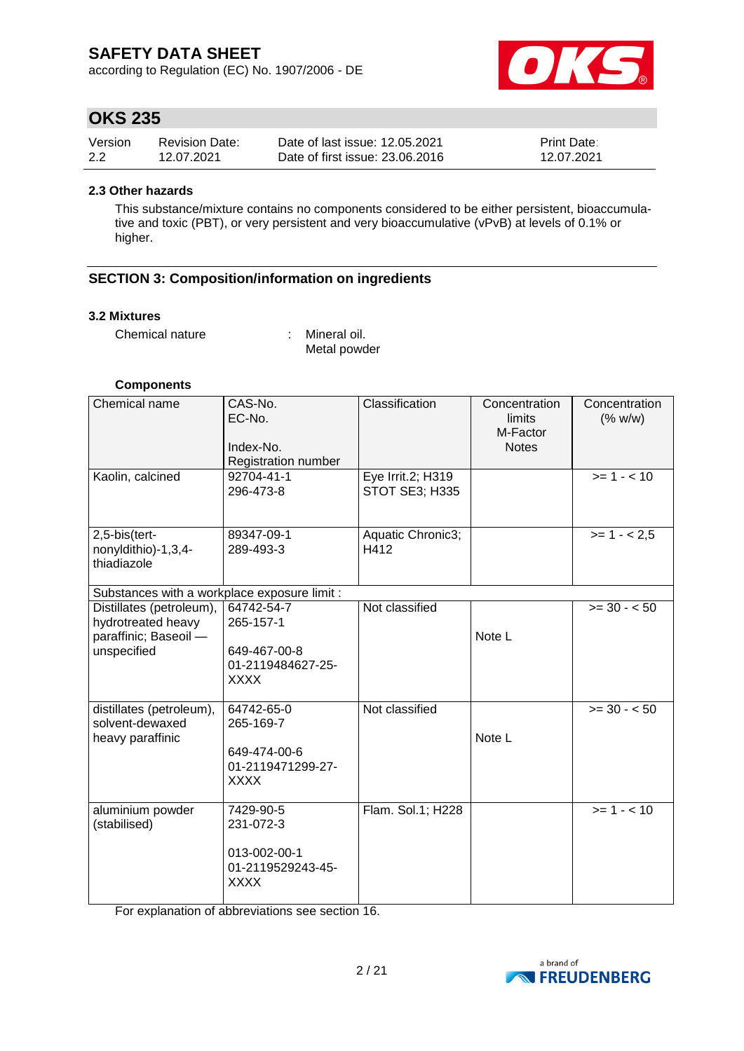according to Regulation (EC) No. 1907/2006 - DE



## **OKS 235**

| Version | <b>Revision Date:</b> | Date of last issue: 12.05.2021  | <b>Print Date:</b> |
|---------|-----------------------|---------------------------------|--------------------|
| 2.2     | 12.07.2021            | Date of first issue: 23,06,2016 | 12.07.2021         |

#### **2.3 Other hazards**

This substance/mixture contains no components considered to be either persistent, bioaccumulative and toxic (PBT), or very persistent and very bioaccumulative (vPvB) at levels of 0.1% or higher.

### **SECTION 3: Composition/information on ingredients**

#### **3.2 Mixtures**

Chemical nature : Mineral oil.

Metal powder

### **Components**

| Chemical name                                                                          | CAS-No.<br>EC-No.<br>Index-No.<br>Registration number                       | Classification                             | Concentration<br>limits<br>M-Factor<br><b>Notes</b> | Concentration<br>(% w/w) |
|----------------------------------------------------------------------------------------|-----------------------------------------------------------------------------|--------------------------------------------|-----------------------------------------------------|--------------------------|
| Kaolin, calcined                                                                       | 92704-41-1<br>296-473-8                                                     | Eye Irrit.2; H319<br><b>STOT SE3; H335</b> |                                                     | $>= 1 - 10$              |
| 2,5-bis(tert-<br>nonyldithio)-1,3,4-<br>thiadiazole                                    | 89347-09-1<br>289-493-3                                                     | Aquatic Chronic3;<br>H412                  |                                                     | $>= 1 - 2.5$             |
| Substances with a workplace exposure limit :                                           |                                                                             |                                            |                                                     |                          |
| Distillates (petroleum),<br>hydrotreated heavy<br>paraffinic; Baseoil -<br>unspecified | 64742-54-7<br>265-157-1<br>649-467-00-8<br>01-2119484627-25-<br><b>XXXX</b> | Not classified                             | Note L                                              | $>= 30 - 50$             |
| distillates (petroleum),<br>solvent-dewaxed<br>heavy paraffinic                        | 64742-65-0<br>265-169-7<br>649-474-00-6<br>01-2119471299-27-<br><b>XXXX</b> | Not classified                             | Note L                                              | $>= 30 - 50$             |
| aluminium powder<br>(stabilised)                                                       | 7429-90-5<br>231-072-3<br>013-002-00-1<br>01-2119529243-45-<br><b>XXXX</b>  | Flam. Sol.1; H228                          |                                                     | $>= 1 - 10$              |

For explanation of abbreviations see section 16.

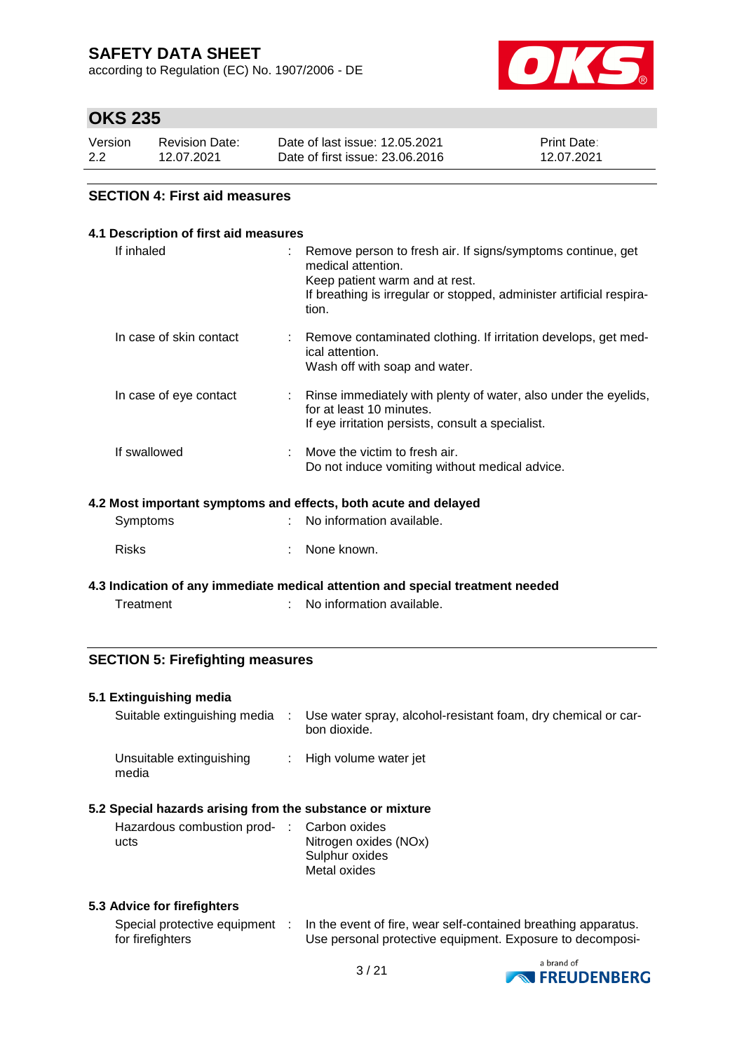according to Regulation (EC) No. 1907/2006 - DE



## **OKS 235**

| Version | <b>Revision Date:</b> | Date of last issue: 12.05.2021  | <b>Print Date:</b> |
|---------|-----------------------|---------------------------------|--------------------|
| 2.2     | 12.07.2021            | Date of first issue: 23,06,2016 | 12.07.2021         |

### **SECTION 4: First aid measures**

| If inhaled<br>Remove person to fresh air. If signs/symptoms continue, get<br>medical attention.<br>Keep patient warm and at rest.<br>tion.<br>In case of skin contact<br>: Remove contaminated clothing. If irritation develops, get med-<br>ical attention.<br>Wash off with soap and water.<br>In case of eye contact<br>for at least 10 minutes.<br>If eye irritation persists, consult a specialist.<br>If swallowed<br>Move the victim to fresh air.<br>Do not induce vomiting without medical advice.<br>4.2 Most important symptoms and effects, both acute and delayed<br>No information available.<br>Symptoms<br><b>Risks</b><br>None known. | 4.1 Description of first aid measures |  |                                                                      |  |  |  |
|--------------------------------------------------------------------------------------------------------------------------------------------------------------------------------------------------------------------------------------------------------------------------------------------------------------------------------------------------------------------------------------------------------------------------------------------------------------------------------------------------------------------------------------------------------------------------------------------------------------------------------------------------------|---------------------------------------|--|----------------------------------------------------------------------|--|--|--|
|                                                                                                                                                                                                                                                                                                                                                                                                                                                                                                                                                                                                                                                        |                                       |  | If breathing is irregular or stopped, administer artificial respira- |  |  |  |
|                                                                                                                                                                                                                                                                                                                                                                                                                                                                                                                                                                                                                                                        |                                       |  |                                                                      |  |  |  |
|                                                                                                                                                                                                                                                                                                                                                                                                                                                                                                                                                                                                                                                        |                                       |  | Rinse immediately with plenty of water, also under the eyelids,      |  |  |  |
|                                                                                                                                                                                                                                                                                                                                                                                                                                                                                                                                                                                                                                                        |                                       |  |                                                                      |  |  |  |
|                                                                                                                                                                                                                                                                                                                                                                                                                                                                                                                                                                                                                                                        |                                       |  |                                                                      |  |  |  |
|                                                                                                                                                                                                                                                                                                                                                                                                                                                                                                                                                                                                                                                        |                                       |  |                                                                      |  |  |  |
|                                                                                                                                                                                                                                                                                                                                                                                                                                                                                                                                                                                                                                                        |                                       |  |                                                                      |  |  |  |

**4.3 Indication of any immediate medical attention and special treatment needed** Treatment : No information available.

### **SECTION 5: Firefighting measures**

### **5.1 Extinguishing media**

| Suitable extinguishing media      | Use water spray, alcohol-resistant foam, dry chemical or car-<br>bon dioxide. |
|-----------------------------------|-------------------------------------------------------------------------------|
| Unsuitable extinguishing<br>media | : High volume water jet                                                       |
|                                   |                                                                               |

### **5.2 Special hazards arising from the substance or mixture**

| Hazardous combustion prod- : Carbon oxides<br>ucts | Nitrogen oxides (NOx)<br>Sulphur oxides |
|----------------------------------------------------|-----------------------------------------|
|                                                    | Metal oxides                            |

### **5.3 Advice for firefighters**

| Special protective equipment | In the event of fire, wear self-contained breathing apparatus. |
|------------------------------|----------------------------------------------------------------|
| for firefighters             | Use personal protective equipment. Exposure to decomposi-      |

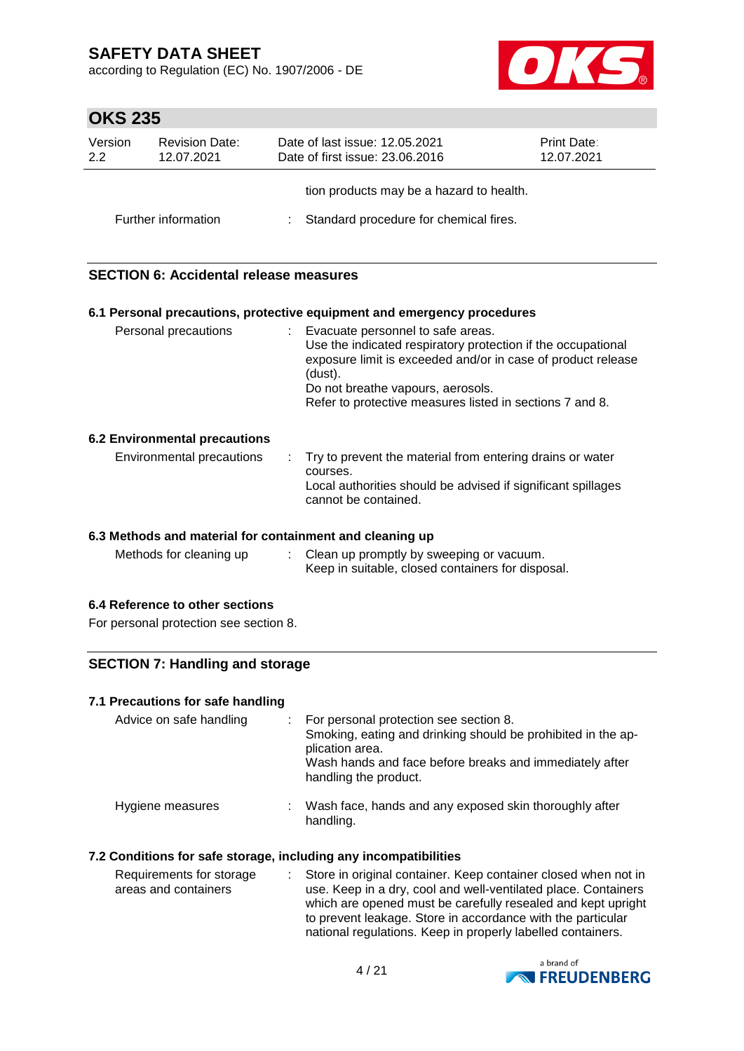according to Regulation (EC) No. 1907/2006 - DE



# **OKS 235**

| Version<br>2.2 | <b>Revision Date:</b><br>12.07.2021 | Date of last issue: 12.05.2021<br><b>Print Date:</b><br>Date of first issue: 23.06.2016<br>12.07.2021 |                                          |  |
|----------------|-------------------------------------|-------------------------------------------------------------------------------------------------------|------------------------------------------|--|
|                |                                     |                                                                                                       | tion products may be a hazard to health. |  |
|                | Further information                 |                                                                                                       | : Standard procedure for chemical fires. |  |

### **SECTION 6: Accidental release measures**

#### **6.1 Personal precautions, protective equipment and emergency procedures**

| Personal precautions          | Evacuate personnel to safe areas.<br>Use the indicated respiratory protection if the occupational<br>exposure limit is exceeded and/or in case of product release<br>(dust).<br>Do not breathe vapours, aerosols.<br>Refer to protective measures listed in sections 7 and 8. |
|-------------------------------|-------------------------------------------------------------------------------------------------------------------------------------------------------------------------------------------------------------------------------------------------------------------------------|
| 6.2 Environmental precautions |                                                                                                                                                                                                                                                                               |

### Environmental precautions : Try to prevent the material from entering drains or water courses. Local authorities should be advised if significant spillages cannot be contained.

### **6.3 Methods and material for containment and cleaning up**

| Methods for cleaning up | Clean up promptly by sweeping or vacuum.          |
|-------------------------|---------------------------------------------------|
|                         | Keep in suitable, closed containers for disposal. |

#### **6.4 Reference to other sections**

For personal protection see section 8.

### **SECTION 7: Handling and storage**

#### **7.1 Precautions for safe handling**

| Advice on safe handling |    | For personal protection see section 8.<br>Smoking, eating and drinking should be prohibited in the ap-<br>plication area.<br>Wash hands and face before breaks and immediately after<br>handling the product. |
|-------------------------|----|---------------------------------------------------------------------------------------------------------------------------------------------------------------------------------------------------------------|
| Hygiene measures        | t. | Wash face, hands and any exposed skin thoroughly after<br>handling.                                                                                                                                           |

### **7.2 Conditions for safe storage, including any incompatibilities**

| : Store in original container. Keep container closed when not in |
|------------------------------------------------------------------|
| use. Keep in a dry, cool and well-ventilated place. Containers   |
| which are opened must be carefully resealed and kept upright     |
| to prevent leakage. Store in accordance with the particular      |
| national regulations. Keep in properly labelled containers.      |
|                                                                  |

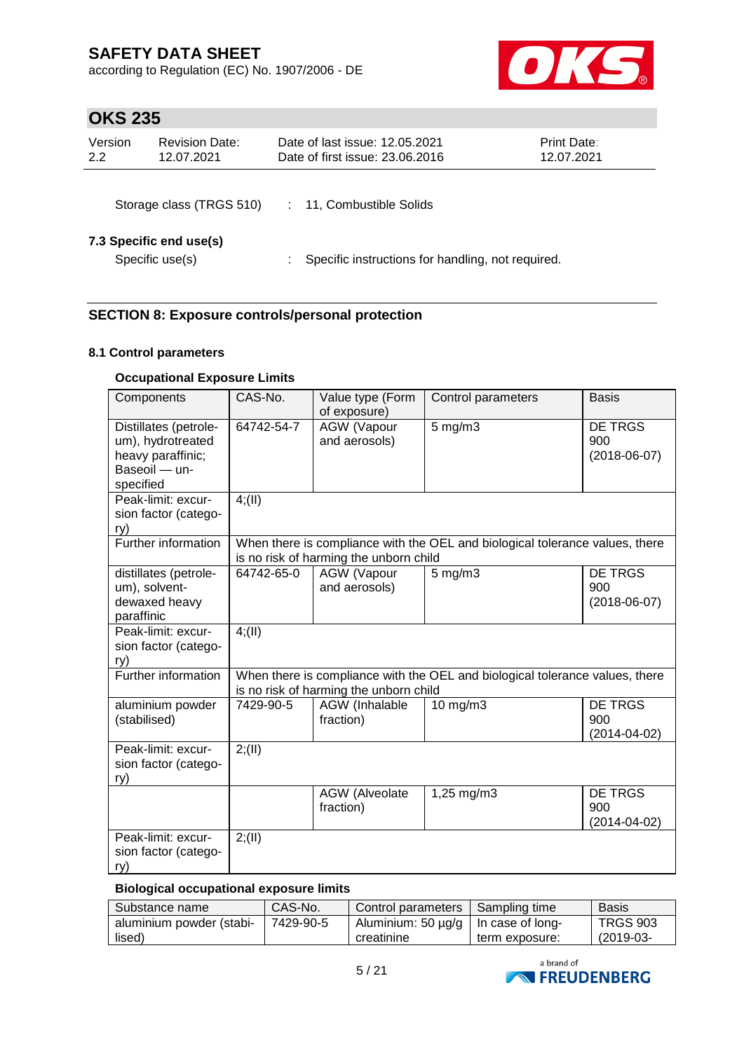according to Regulation (EC) No. 1907/2006 - DE



# **OKS 235**

| Version<br>2.2 | <b>Revision Date:</b><br>12.07.2021        | Date of last issue: 12.05.2021<br>Date of first issue: 23.06.2016 | Print Date:<br>12.07.2021 |
|----------------|--------------------------------------------|-------------------------------------------------------------------|---------------------------|
|                | Storage class (TRGS 510)                   | 11, Combustible Solids                                            |                           |
|                | 7.3 Specific end use(s)<br>Specific use(s) | Specific instructions for handling, not required.                 |                           |

## **SECTION 8: Exposure controls/personal protection**

### **8.1 Control parameters**

### **Occupational Exposure Limits**

| Components                                                                                    | CAS-No.                                                                                                                | Value type (Form<br>of exposure)       | Control parameters                                                           | <b>Basis</b>                                |  |  |  |
|-----------------------------------------------------------------------------------------------|------------------------------------------------------------------------------------------------------------------------|----------------------------------------|------------------------------------------------------------------------------|---------------------------------------------|--|--|--|
| Distillates (petrole-<br>um), hydrotreated<br>heavy paraffinic;<br>Baseoil - un-<br>specified | 64742-54-7                                                                                                             | AGW (Vapour<br>and aerosols)           | $5$ mg/m $3$                                                                 | DE TRGS<br>900<br>$(2018-06-07)$            |  |  |  |
| Peak-limit: excur-<br>sion factor (catego-<br>ry)                                             | 4(11)                                                                                                                  |                                        |                                                                              |                                             |  |  |  |
| Further information                                                                           |                                                                                                                        | is no risk of harming the unborn child | When there is compliance with the OEL and biological tolerance values, there |                                             |  |  |  |
| distillates (petrole-<br>um), solvent-<br>dewaxed heavy<br>paraffinic                         | 64742-65-0                                                                                                             | AGW (Vapour<br>and aerosols)           | $5$ mg/m $3$                                                                 | <b>DE TRGS</b><br>900<br>$(2018-06-07)$     |  |  |  |
| Peak-limit: excur-<br>sion factor (catego-<br>ry)                                             | 4(11)                                                                                                                  |                                        |                                                                              |                                             |  |  |  |
| Further information                                                                           | When there is compliance with the OEL and biological tolerance values, there<br>is no risk of harming the unborn child |                                        |                                                                              |                                             |  |  |  |
| aluminium powder<br>(stabilised)                                                              | 7429-90-5                                                                                                              | AGW (Inhalable<br>fraction)            | 10 mg/m3                                                                     | <b>DE TRGS</b><br>900<br>$(2014 - 04 - 02)$ |  |  |  |
| Peak-limit: excur-<br>sion factor (catego-<br>ry)                                             | 2; (II)                                                                                                                |                                        |                                                                              |                                             |  |  |  |
|                                                                                               |                                                                                                                        | <b>AGW</b> (Alveolate<br>fraction)     | 1,25 mg/m3                                                                   | <b>DE TRGS</b><br>900<br>$(2014 - 04 - 02)$ |  |  |  |
| Peak-limit: excur-<br>sion factor (catego-<br>ry)                                             | 2; (II)                                                                                                                |                                        |                                                                              |                                             |  |  |  |

### **Biological occupational exposure limits**

| Substance name           | CAS-No.   | Control parameters | Sampling time    | <b>Basis</b>    |
|--------------------------|-----------|--------------------|------------------|-----------------|
| aluminium powder (stabi- | 7429-90-5 | Aluminium: 50 µg/g | In case of long- | <b>TRGS 903</b> |
| lised)                   |           | creatinine         | term exposure:   | $(2019-03-$     |

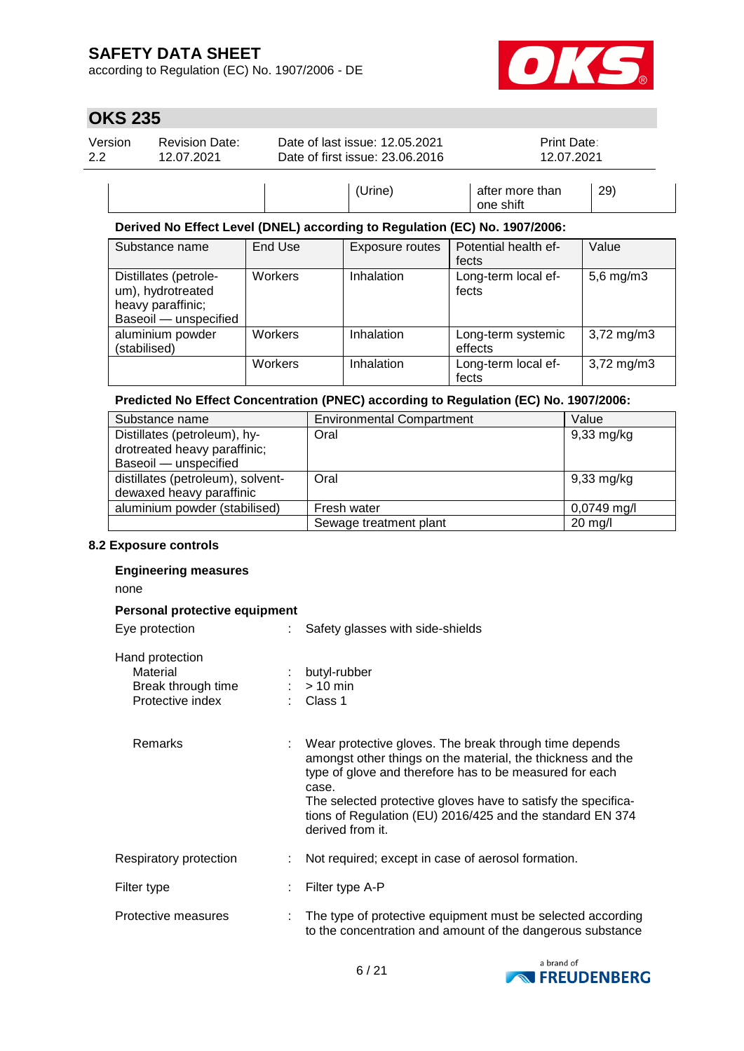according to Regulation (EC) No. 1907/2006 - DE



## **OKS 235**

| Version | <b>Revision Date:</b> | Date of last issue: 12.05.2021  | Print Date:                         |
|---------|-----------------------|---------------------------------|-------------------------------------|
| 2.2     | 12.07.2021            | Date of first issue: 23.06.2016 | 12.07.2021                          |
|         |                       | (Urine)                         | 29)<br>after more than<br>one shift |

#### **Derived No Effect Level (DNEL) according to Regulation (EC) No. 1907/2006:**

| Substance name                                                                           | End Use | Exposure routes | Potential health ef-<br>fects | Value                  |
|------------------------------------------------------------------------------------------|---------|-----------------|-------------------------------|------------------------|
| Distillates (petrole-<br>um), hydrotreated<br>heavy paraffinic;<br>Baseoil - unspecified | Workers | Inhalation      | Long-term local ef-<br>fects  | $5,6$ mg/m $3$         |
| aluminium powder<br>(stabilised)                                                         | Workers | Inhalation      | Long-term systemic<br>effects | $3,72 \,\mathrm{mg/m}$ |
|                                                                                          | Workers | Inhalation      | Long-term local ef-<br>fects  | $3,72 \,\mathrm{mg/m}$ |

### **Predicted No Effect Concentration (PNEC) according to Regulation (EC) No. 1907/2006:**

| Substance name                    | <b>Environmental Compartment</b> | Value                |
|-----------------------------------|----------------------------------|----------------------|
| Distillates (petroleum), hy-      | Oral                             | $9,33$ mg/kg         |
| drotreated heavy paraffinic;      |                                  |                      |
| Baseoil - unspecified             |                                  |                      |
| distillates (petroleum), solvent- | Oral                             | $9,33 \text{ mg/kg}$ |
| dewaxed heavy paraffinic          |                                  |                      |
| aluminium powder (stabilised)     | Fresh water                      | $0,0749$ mg/l        |
|                                   | Sewage treatment plant           | $20 \text{ mg/l}$    |

### **8.2 Exposure controls**

# **Engineering measures** none **Personal protective equipment** Eye protection : Safety glasses with side-shields Hand protection Material : butyl-rubber<br>Break through time : > 10 min Break through time Protective index : Class 1 Remarks : Wear protective gloves. The break through time depends amongst other things on the material, the thickness and the type of glove and therefore has to be measured for each case. The selected protective gloves have to satisfy the specifications of Regulation (EU) 2016/425 and the standard EN 374 derived from it. Respiratory protection : Not required; except in case of aerosol formation. Filter type : Filter type A-P Protective measures : The type of protective equipment must be selected according to the concentration and amount of the dangerous substance

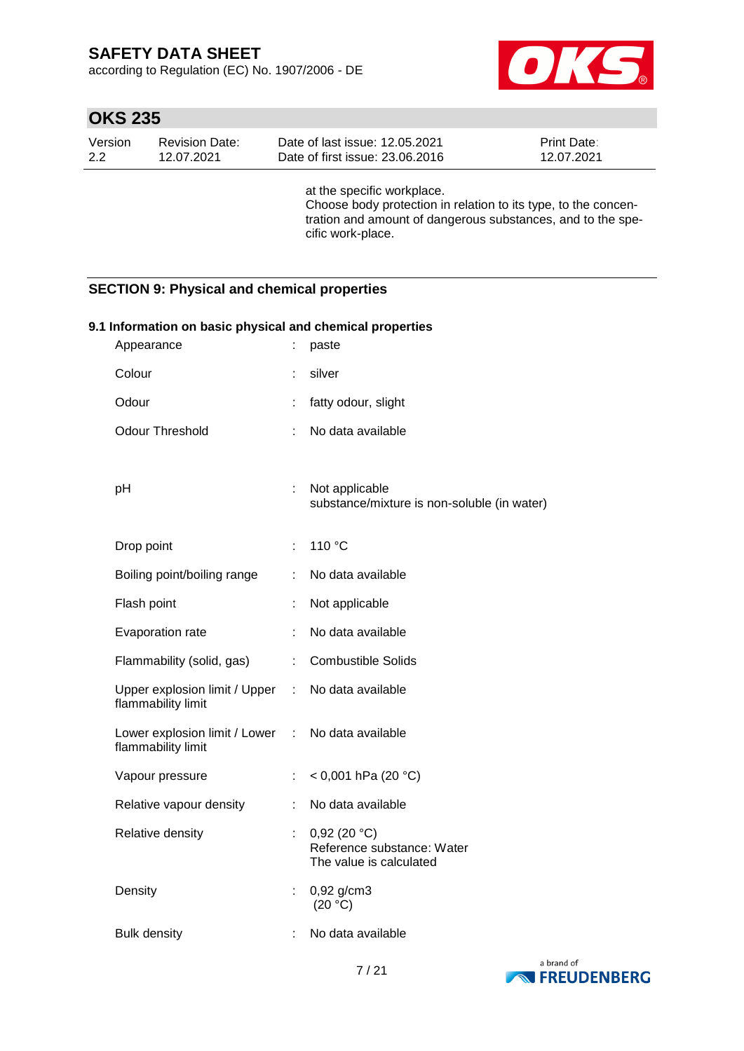according to Regulation (EC) No. 1907/2006 - DE



# **OKS 235**

| Version | Revision Date: | Date of last issue: 12.05.2021  | <b>Print Date:</b> |
|---------|----------------|---------------------------------|--------------------|
| 2.2     | 12.07.2021     | Date of first issue: 23,06,2016 | 12.07.2021         |
|         |                |                                 |                    |

at the specific workplace. Choose body protection in relation to its type, to the concentration and amount of dangerous substances, and to the specific work-place.

### **SECTION 9: Physical and chemical properties**

| 9.1 Information on basic physical and chemical properties<br>Appearance<br>÷.<br>paste |                             |                                                                      |  |  |
|----------------------------------------------------------------------------------------|-----------------------------|----------------------------------------------------------------------|--|--|
| Colour                                                                                 |                             | silver                                                               |  |  |
| Odour                                                                                  | ÷                           | fatty odour, slight                                                  |  |  |
| Odour Threshold                                                                        | ÷                           | No data available                                                    |  |  |
| pH                                                                                     | ÷.                          | Not applicable<br>substance/mixture is non-soluble (in water)        |  |  |
| Drop point                                                                             | ÷.                          | 110 °C                                                               |  |  |
| Boiling point/boiling range                                                            | ÷                           | No data available                                                    |  |  |
| Flash point                                                                            | ÷                           | Not applicable                                                       |  |  |
| Evaporation rate                                                                       | ÷                           | No data available                                                    |  |  |
| Flammability (solid, gas)                                                              | ÷                           | <b>Combustible Solids</b>                                            |  |  |
| Upper explosion limit / Upper<br>flammability limit                                    |                             | : No data available                                                  |  |  |
| Lower explosion limit / Lower :<br>flammability limit                                  |                             | No data available                                                    |  |  |
| Vapour pressure                                                                        | $\mathcal{C}^{\mathcal{C}}$ | < 0,001 hPa (20 $^{\circ}$ C)                                        |  |  |
| Relative vapour density                                                                | ÷.                          | No data available                                                    |  |  |
| Relative density                                                                       | $\mathcal{L}_{\mathcal{A}}$ | 0,92(20 °C)<br>Reference substance: Water<br>The value is calculated |  |  |
| Density                                                                                | $\mathbb{R}^n$              | 0,92 g/cm3<br>(20 °C)                                                |  |  |
| <b>Bulk density</b>                                                                    |                             | No data available                                                    |  |  |

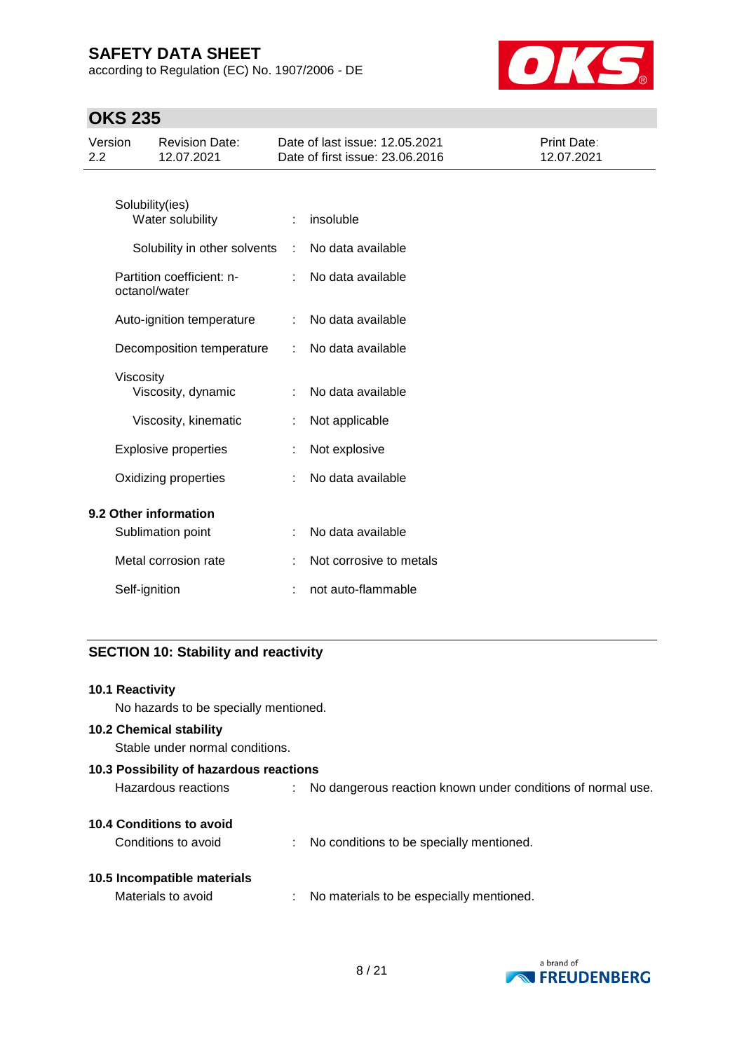according to Regulation (EC) No. 1907/2006 - DE



# **OKS 235**

| Version<br>2.2 |               | <b>Revision Date:</b><br>12.07.2021        |   | Date of last issue: 12.05.2021<br>Date of first issue: 23,06,2016 | Print Date:<br>12.07.2021 |
|----------------|---------------|--------------------------------------------|---|-------------------------------------------------------------------|---------------------------|
|                |               | Solubility(ies)<br>Water solubility        | ÷ | insoluble                                                         |                           |
|                |               | Solubility in other solvents               | ÷ | No data available                                                 |                           |
|                |               | Partition coefficient: n-<br>octanol/water |   | No data available                                                 |                           |
|                |               | Auto-ignition temperature                  | ÷ | No data available                                                 |                           |
|                |               | Decomposition temperature                  |   | No data available                                                 |                           |
|                | Viscosity     | Viscosity, dynamic                         | ÷ | No data available                                                 |                           |
|                |               | Viscosity, kinematic                       |   | Not applicable                                                    |                           |
|                |               | <b>Explosive properties</b>                |   | Not explosive                                                     |                           |
|                |               | Oxidizing properties                       |   | No data available                                                 |                           |
|                |               | 9.2 Other information                      |   |                                                                   |                           |
|                |               | Sublimation point                          | ÷ | No data available                                                 |                           |
|                |               | Metal corrosion rate                       |   | Not corrosive to metals                                           |                           |
|                | Self-ignition |                                            |   | not auto-flammable                                                |                           |

## **SECTION 10: Stability and reactivity**

| <b>10.1 Reactivity</b><br>No hazards to be specially mentioned.   |                                                             |
|-------------------------------------------------------------------|-------------------------------------------------------------|
| <b>10.2 Chemical stability</b><br>Stable under normal conditions. |                                                             |
| 10.3 Possibility of hazardous reactions                           |                                                             |
| Hazardous reactions                                               | No dangerous reaction known under conditions of normal use. |
| 10.4 Conditions to avoid                                          |                                                             |
| Conditions to avoid                                               | No conditions to be specially mentioned.                    |
| 10.5 Incompatible materials                                       |                                                             |
| Materials to avoid                                                | No materials to be especially mentioned.                    |

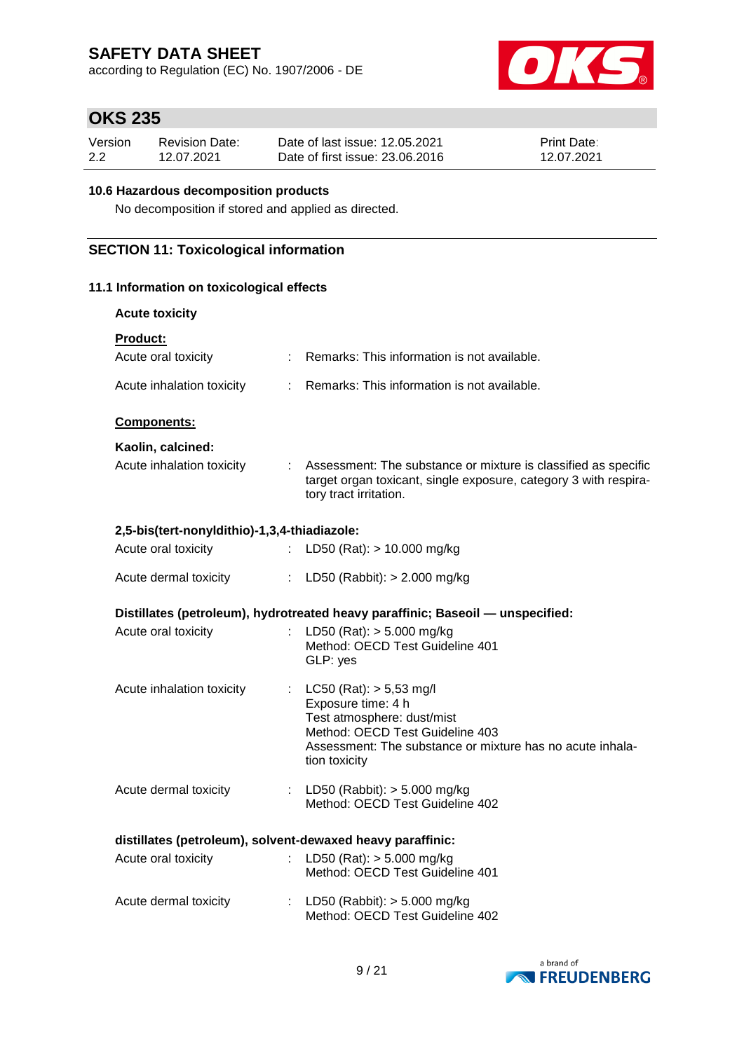according to Regulation (EC) No. 1907/2006 - DE



# **OKS 235**

| Version | <b>Revision Date:</b> | Date of last issue: 12.05.2021  | <b>Print Date:</b> |
|---------|-----------------------|---------------------------------|--------------------|
| 2.2     | 12.07.2021            | Date of first issue: 23,06,2016 | 12.07.2021         |

### **10.6 Hazardous decomposition products**

No decomposition if stored and applied as directed.

## **SECTION 11: Toxicological information**

### **11.1 Information on toxicological effects**

| <b>Acute toxicity</b>                                      |                           |                                                                                                                                                                                                  |
|------------------------------------------------------------|---------------------------|--------------------------------------------------------------------------------------------------------------------------------------------------------------------------------------------------|
| <b>Product:</b>                                            |                           |                                                                                                                                                                                                  |
| Acute oral toxicity                                        |                           | : Remarks: This information is not available.                                                                                                                                                    |
| Acute inhalation toxicity                                  |                           | : Remarks: This information is not available.                                                                                                                                                    |
| <b>Components:</b>                                         |                           |                                                                                                                                                                                                  |
| Kaolin, calcined:                                          |                           |                                                                                                                                                                                                  |
| Acute inhalation toxicity                                  |                           | : Assessment: The substance or mixture is classified as specific<br>target organ toxicant, single exposure, category 3 with respira-<br>tory tract irritation.                                   |
| 2,5-bis(tert-nonyldithio)-1,3,4-thiadiazole:               |                           |                                                                                                                                                                                                  |
| Acute oral toxicity                                        |                           | : LD50 (Rat): $> 10.000$ mg/kg                                                                                                                                                                   |
| Acute dermal toxicity                                      |                           | : LD50 (Rabbit): $> 2.000$ mg/kg                                                                                                                                                                 |
|                                                            |                           | Distillates (petroleum), hydrotreated heavy paraffinic; Baseoil — unspecified:                                                                                                                   |
| Acute oral toxicity                                        | ÷.                        | LD50 (Rat): $> 5.000$ mg/kg<br>Method: OECD Test Guideline 401<br>GLP: yes                                                                                                                       |
| Acute inhalation toxicity                                  |                           | : $LC50 (Rat): > 5,53 mg/l$<br>Exposure time: 4 h<br>Test atmosphere: dust/mist<br>Method: OECD Test Guideline 403<br>Assessment: The substance or mixture has no acute inhala-<br>tion toxicity |
| Acute dermal toxicity                                      |                           | : LD50 (Rabbit): $> 5.000$ mg/kg<br>Method: OECD Test Guideline 402                                                                                                                              |
| distillates (petroleum), solvent-dewaxed heavy paraffinic: |                           |                                                                                                                                                                                                  |
| Acute oral toxicity                                        | ÷.                        | LD50 (Rat): $> 5.000$ mg/kg<br>Method: OECD Test Guideline 401                                                                                                                                   |
| Acute dermal toxicity                                      | $\mathbb{Z}^{\mathbb{Z}}$ | LD50 (Rabbit): $> 5.000$ mg/kg<br>Method: OECD Test Guideline 402                                                                                                                                |

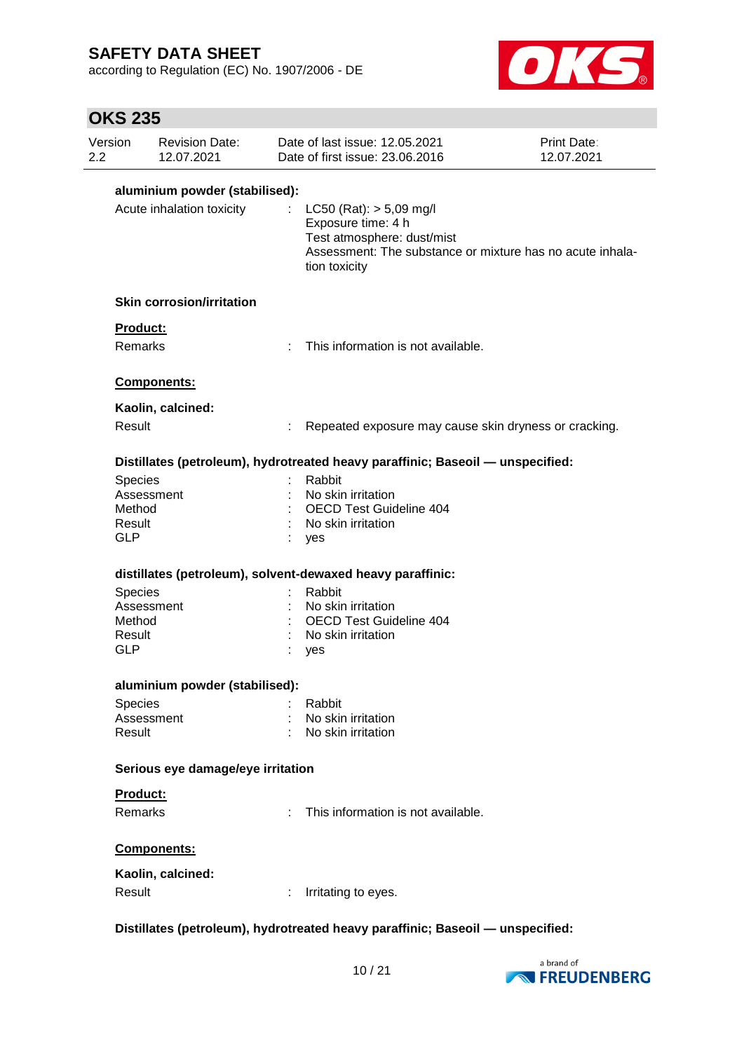according to Regulation (EC) No. 1907/2006 - DE



# **OKS 235**

| Version                                   | <b>Revision Date:</b><br>12.07.2021 |                             | Date of last issue: 12.05.2021<br>Date of first issue: 23.06.2016                                                                                             | Print Date:<br>12.07.2021 |
|-------------------------------------------|-------------------------------------|-----------------------------|---------------------------------------------------------------------------------------------------------------------------------------------------------------|---------------------------|
|                                           | aluminium powder (stabilised):      |                             |                                                                                                                                                               |                           |
|                                           | Acute inhalation toxicity           |                             | : LC50 (Rat): $> 5,09$ mg/l<br>Exposure time: 4 h<br>Test atmosphere: dust/mist<br>Assessment: The substance or mixture has no acute inhala-<br>tion toxicity |                           |
|                                           | <b>Skin corrosion/irritation</b>    |                             |                                                                                                                                                               |                           |
| Product:                                  |                                     |                             |                                                                                                                                                               |                           |
| <b>Remarks</b>                            |                                     | $\mathcal{F}_{\mathcal{A}}$ | This information is not available.                                                                                                                            |                           |
|                                           | Components:                         |                             |                                                                                                                                                               |                           |
|                                           | Kaolin, calcined:                   |                             |                                                                                                                                                               |                           |
| Result                                    |                                     |                             | Repeated exposure may cause skin dryness or cracking.                                                                                                         |                           |
|                                           |                                     |                             | Distillates (petroleum), hydrotreated heavy paraffinic; Baseoil - unspecified:                                                                                |                           |
| Species<br>Method<br>Result<br><b>GLP</b> | Assessment                          |                             | Rabbit<br>No skin irritation<br><b>OECD Test Guideline 404</b><br>No skin irritation<br>yes                                                                   |                           |
|                                           |                                     |                             | distillates (petroleum), solvent-dewaxed heavy paraffinic:                                                                                                    |                           |
| Species                                   |                                     |                             | Rabbit                                                                                                                                                        |                           |
|                                           | Assessment                          |                             | No skin irritation                                                                                                                                            |                           |
| Method                                    |                                     |                             | <b>OECD Test Guideline 404</b>                                                                                                                                |                           |
| Result<br><b>GLP</b>                      |                                     |                             | No skin irritation<br>yes                                                                                                                                     |                           |
|                                           | aluminium powder (stabilised):      |                             |                                                                                                                                                               |                           |
| Species                                   |                                     |                             | Rabbit                                                                                                                                                        |                           |
|                                           | Assessment                          |                             | : No skin irritation                                                                                                                                          |                           |
| Result                                    |                                     |                             | : No skin irritation                                                                                                                                          |                           |
|                                           | Serious eye damage/eye irritation   |                             |                                                                                                                                                               |                           |
| Product:                                  |                                     |                             |                                                                                                                                                               |                           |
| Remarks                                   |                                     |                             | This information is not available.                                                                                                                            |                           |
|                                           | Components:                         |                             |                                                                                                                                                               |                           |
|                                           | Kaolin, calcined:                   |                             |                                                                                                                                                               |                           |
| Result                                    |                                     |                             | Irritating to eyes.                                                                                                                                           |                           |

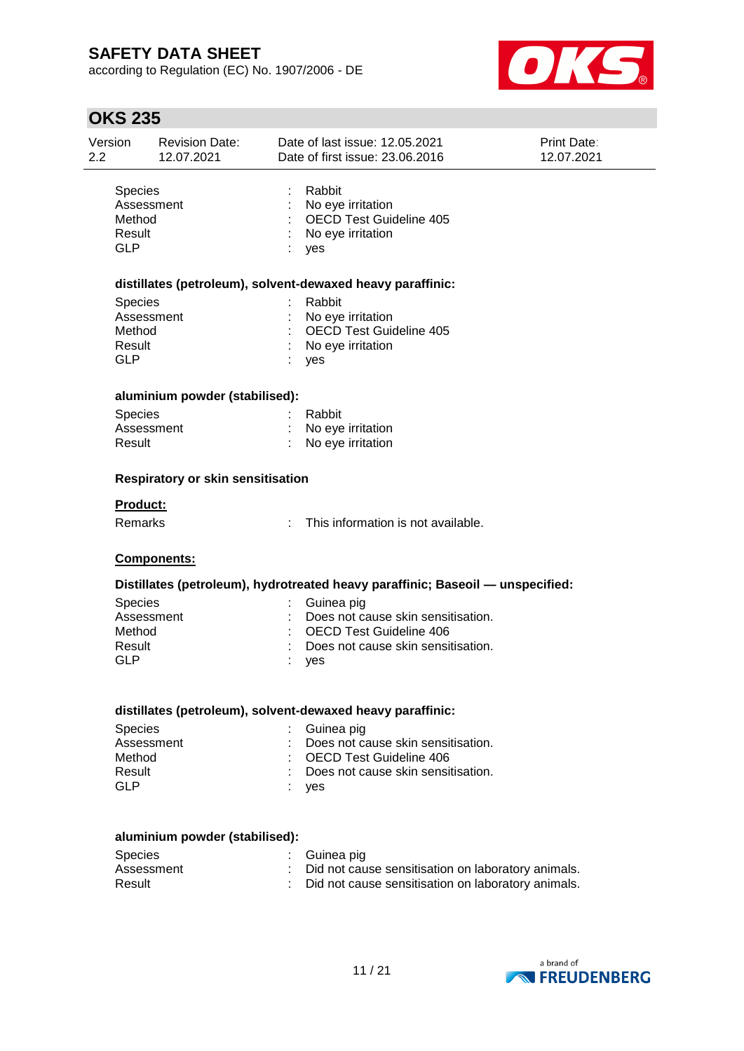according to Regulation (EC) No. 1907/2006 - DE



| <b>OKS 235</b>                                          |                                     |    |                                                                                                                                 |                           |
|---------------------------------------------------------|-------------------------------------|----|---------------------------------------------------------------------------------------------------------------------------------|---------------------------|
| Version<br>2.2                                          | <b>Revision Date:</b><br>12.07.2021 |    | Date of last issue: 12.05.2021<br>Date of first issue: 23.06.2016                                                               | Print Date:<br>12.07.2021 |
| Species<br>Assessment<br>Method<br>Result<br><b>GLP</b> |                                     |    | Rabbit<br>No eye irritation<br><b>OECD Test Guideline 405</b><br>No eye irritation<br>yes                                       |                           |
|                                                         |                                     |    | distillates (petroleum), solvent-dewaxed heavy paraffinic:                                                                      |                           |
| <b>Species</b><br>Method<br>Result<br><b>GLP</b>        | Assessment                          |    | Rabbit<br>No eye irritation<br><b>OECD Test Guideline 405</b><br>No eye irritation<br>yes                                       |                           |
|                                                         | aluminium powder (stabilised):      |    |                                                                                                                                 |                           |
| Species<br>Result                                       | Assessment                          |    | Rabbit<br>No eye irritation<br>No eye irritation                                                                                |                           |
|                                                         | Respiratory or skin sensitisation   |    |                                                                                                                                 |                           |
| <b>Product:</b>                                         |                                     |    |                                                                                                                                 |                           |
| Remarks                                                 |                                     | ÷. | This information is not available.                                                                                              |                           |
|                                                         | Components:                         |    |                                                                                                                                 |                           |
|                                                         |                                     |    | Distillates (petroleum), hydrotreated heavy paraffinic; Baseoil - unspecified:                                                  |                           |
| <b>Species</b><br>Method<br>Result<br><b>GLP</b>        | Assessment                          |    | Guinea pig<br>Does not cause skin sensitisation.<br><b>OECD Test Guideline 406</b><br>Does not cause skin sensitisation.<br>yes |                           |
|                                                         |                                     |    | distillates (petroleum), solvent-dewaxed heavy paraffinic:                                                                      |                           |
| Species<br>Method<br>Result<br><b>GLP</b>               | Assessment                          |    | Guinea pig<br>Does not cause skin sensitisation.<br><b>OECD Test Guideline 406</b><br>Does not cause skin sensitisation.<br>ves |                           |

: yes

### **aluminium powder (stabilised):**

| Species    | : Guinea pig                                         |
|------------|------------------------------------------------------|
| Assessment | : Did not cause sensitisation on laboratory animals. |
| Result     | : Did not cause sensitisation on laboratory animals. |

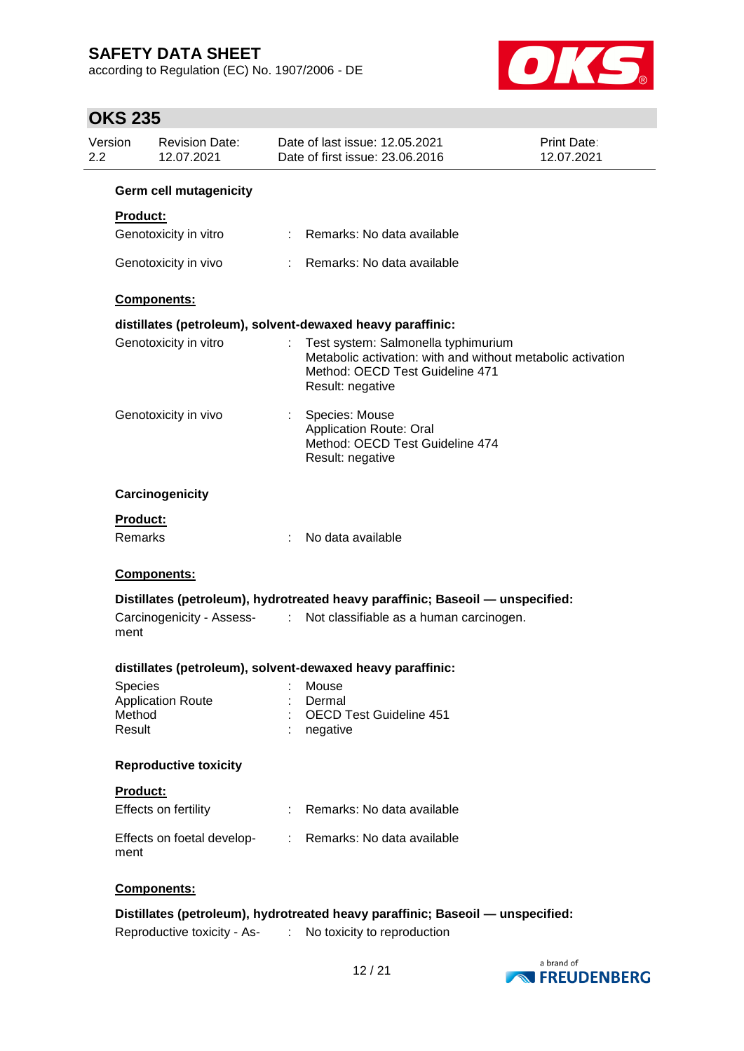according to Regulation (EC) No. 1907/2006 - DE



# **OKS 235**

| Version<br>2.2 | <b>Revision Date:</b><br>12.07.2021 |    | Date of last issue: 12.05.2021<br>Date of first issue: 23.06.2016                                                                                         | Print Date:<br>12.07.2021 |
|----------------|-------------------------------------|----|-----------------------------------------------------------------------------------------------------------------------------------------------------------|---------------------------|
|                | <b>Germ cell mutagenicity</b>       |    |                                                                                                                                                           |                           |
|                | <b>Product:</b>                     |    |                                                                                                                                                           |                           |
|                | Genotoxicity in vitro               |    | Remarks: No data available                                                                                                                                |                           |
|                | Genotoxicity in vivo                |    | Remarks: No data available                                                                                                                                |                           |
|                | <b>Components:</b>                  |    |                                                                                                                                                           |                           |
|                |                                     |    | distillates (petroleum), solvent-dewaxed heavy paraffinic:                                                                                                |                           |
|                | Genotoxicity in vitro               |    | Test system: Salmonella typhimurium<br>Metabolic activation: with and without metabolic activation<br>Method: OECD Test Guideline 471<br>Result: negative |                           |
|                | Genotoxicity in vivo                |    | Species: Mouse<br><b>Application Route: Oral</b><br>Method: OECD Test Guideline 474<br>Result: negative                                                   |                           |
|                | Carcinogenicity                     |    |                                                                                                                                                           |                           |
|                | <b>Product:</b>                     |    |                                                                                                                                                           |                           |
|                | Remarks                             |    | No data available                                                                                                                                         |                           |
|                | Components:                         |    |                                                                                                                                                           |                           |
|                |                                     |    | Distillates (petroleum), hydrotreated heavy paraffinic; Baseoil - unspecified:                                                                            |                           |
| ment           | Carcinogenicity - Assess-<br>:      |    | Not classifiable as a human carcinogen.                                                                                                                   |                           |
|                |                                     |    | distillates (petroleum), solvent-dewaxed heavy paraffinic:                                                                                                |                           |
|                | Species                             |    |                                                                                                                                                           |                           |
|                | <b>Application Route</b><br>Method  |    | Dermal<br><b>OECD Test Guideline 451</b>                                                                                                                  |                           |
|                | Result                              |    | negative                                                                                                                                                  |                           |
|                | <b>Reproductive toxicity</b>        |    |                                                                                                                                                           |                           |
|                | <b>Product:</b>                     |    |                                                                                                                                                           |                           |
|                | Effects on fertility                |    | Remarks: No data available                                                                                                                                |                           |
| ment           | Effects on foetal develop-          |    | : Remarks: No data available                                                                                                                              |                           |
|                | Components:                         |    |                                                                                                                                                           |                           |
|                |                                     |    | Distillates (petroleum), hydrotreated heavy paraffinic; Baseoil - unspecified:                                                                            |                           |
|                | Reproductive toxicity - As-         | ÷. | No toxicity to reproduction                                                                                                                               |                           |

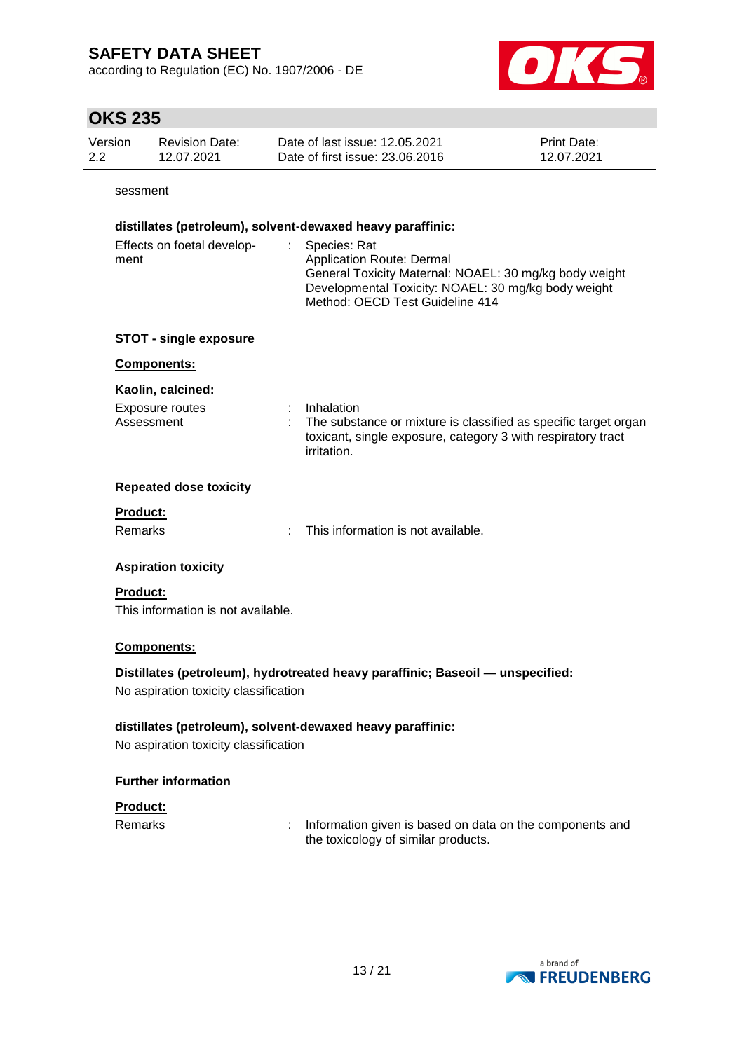according to Regulation (EC) No. 1907/2006 - DE



## **OKS 235**

| Version | Revision Date: | Date of last issue: 12.05.2021  | <b>Print Date:</b> |
|---------|----------------|---------------------------------|--------------------|
| 2.2     | 12.07.2021     | Date of first issue: 23,06,2016 | 12.07.2021         |

sessment

### **distillates (petroleum), solvent-dewaxed heavy paraffinic:**

| Effects on foetal develop- | : Species: Rat                                         |
|----------------------------|--------------------------------------------------------|
| ment                       | Application Route: Dermal                              |
|                            | General Toxicity Maternal: NOAEL: 30 mg/kg body weight |
|                            | Developmental Toxicity: NOAEL: 30 mg/kg body weight    |
|                            | Method: OECD Test Guideline 414                        |

### **STOT - single exposure**

#### **Components:**

#### **Kaolin, calcined:**

| Exposure routes | Inhalation                                                        |
|-----------------|-------------------------------------------------------------------|
| Assessment      | : The substance or mixture is classified as specific target organ |
|                 | toxicant, single exposure, category 3 with respiratory tract      |
|                 | <i>irritation.</i>                                                |

#### **Repeated dose toxicity**

### **Product:**

Remarks : This information is not available.

### **Aspiration toxicity**

### **Product:**

This information is not available.

### **Components:**

### **Distillates (petroleum), hydrotreated heavy paraffinic; Baseoil — unspecified:**

No aspiration toxicity classification

### **distillates (petroleum), solvent-dewaxed heavy paraffinic:**

No aspiration toxicity classification

### **Further information**

### **Product:**

Remarks : Information given is based on data on the components and the toxicology of similar products.

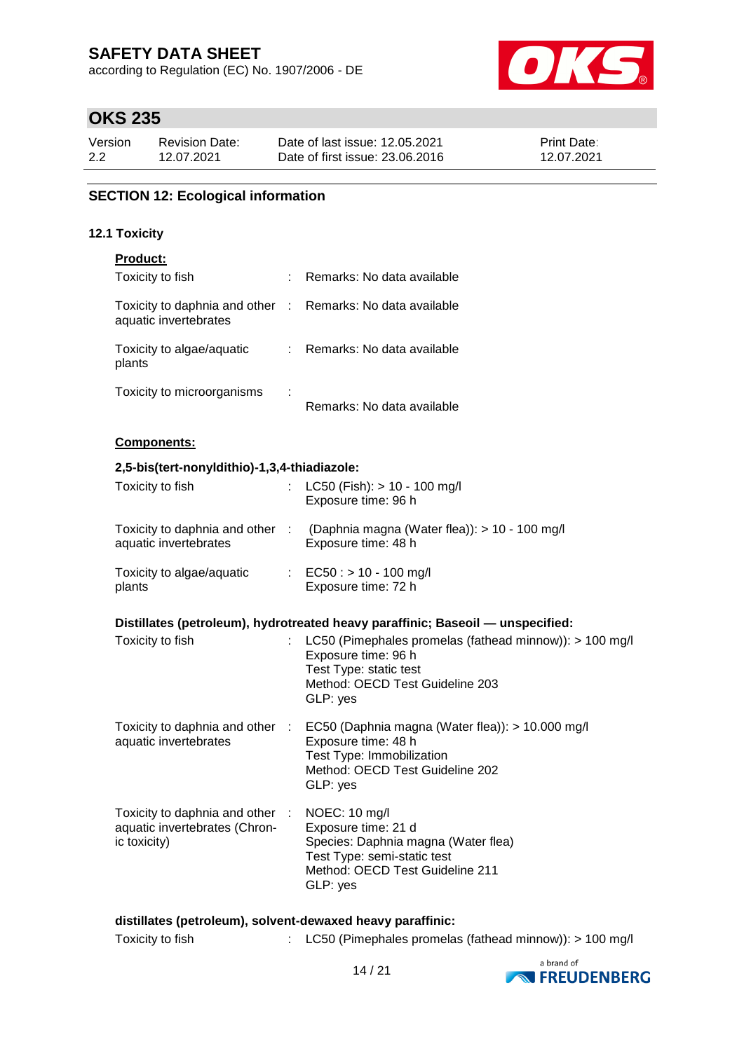according to Regulation (EC) No. 1907/2006 - DE



# **OKS 235**

| Version | Revision Date: | Date of last issue: 12.05.2021  | <b>Print Date:</b> |
|---------|----------------|---------------------------------|--------------------|
| 2.2     | 12.07.2021     | Date of first issue: 23,06,2016 | 12.07.2021         |

## **SECTION 12: Ecological information**

### **12.1 Toxicity**

| Product:                                                                                       |                                                                                                                                                                                     |
|------------------------------------------------------------------------------------------------|-------------------------------------------------------------------------------------------------------------------------------------------------------------------------------------|
| Toxicity to fish                                                                               | : Remarks: No data available                                                                                                                                                        |
| Toxicity to daphnia and other : Remarks: No data available<br>aquatic invertebrates            |                                                                                                                                                                                     |
| Toxicity to algae/aquatic<br>plants                                                            | : Remarks: No data available                                                                                                                                                        |
| Toxicity to microorganisms                                                                     | Remarks: No data available                                                                                                                                                          |
| Components:                                                                                    |                                                                                                                                                                                     |
| 2,5-bis(tert-nonyldithio)-1,3,4-thiadiazole:                                                   |                                                                                                                                                                                     |
| Toxicity to fish                                                                               | $LC50$ (Fish): $> 10 - 100$ mg/l<br>Exposure time: 96 h                                                                                                                             |
| aquatic invertebrates                                                                          | Toxicity to daphnia and other : (Daphnia magna (Water flea)): > 10 - 100 mg/l<br>Exposure time: 48 h                                                                                |
| Toxicity to algae/aquatic<br>plants                                                            | : $EC50: > 10 - 100$ mg/l<br>Exposure time: 72 h                                                                                                                                    |
|                                                                                                |                                                                                                                                                                                     |
|                                                                                                | Distillates (petroleum), hydrotreated heavy paraffinic; Baseoil — unspecified:                                                                                                      |
| Toxicity to fish                                                                               | LC50 (Pimephales promelas (fathead minnow)): > 100 mg/l<br>Exposure time: 96 h<br>Test Type: static test<br>Method: OECD Test Guideline 203<br>GLP: yes                             |
|                                                                                                |                                                                                                                                                                                     |
| aquatic invertebrates                                                                          | Toxicity to daphnia and other : EC50 (Daphnia magna (Water flea)): > 10.000 mg/l<br>Exposure time: 48 h<br>Test Type: Immobilization<br>Method: OECD Test Guideline 202<br>GLP: yes |
| Toxicity to daphnia and other : NOEC: 10 mg/l<br>aquatic invertebrates (Chron-<br>ic toxicity) | Exposure time: 21 d<br>Species: Daphnia magna (Water flea)<br>Test Type: semi-static test<br>Method: OECD Test Guideline 211<br>GLP: yes                                            |



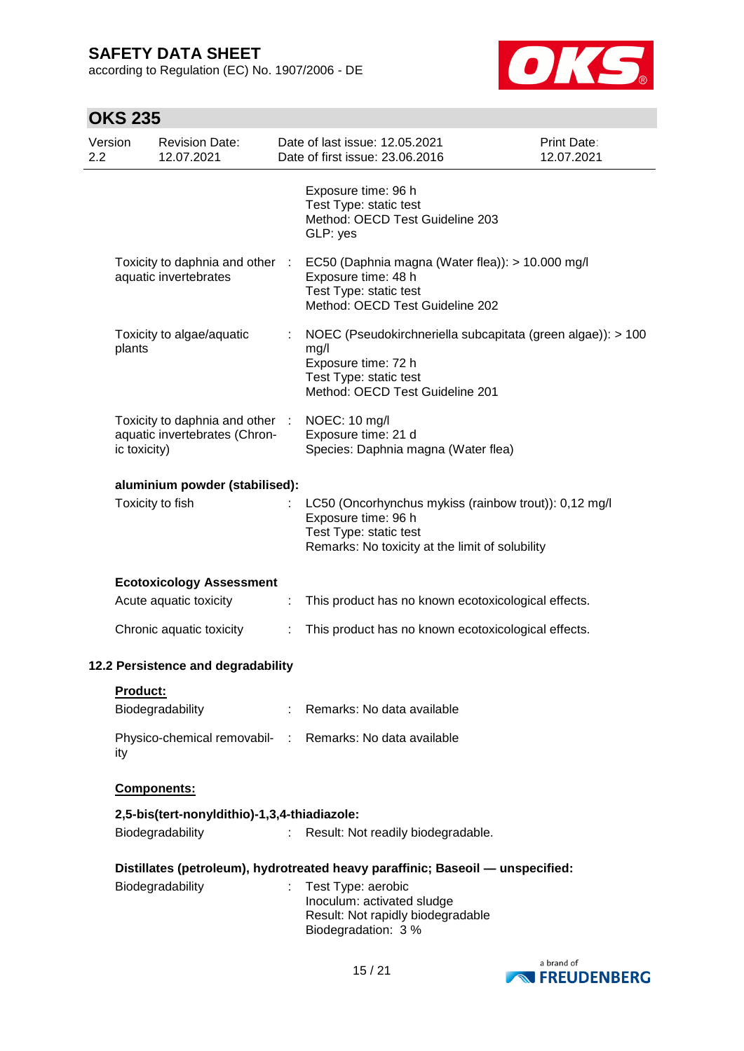according to Regulation (EC) No. 1907/2006 - DE



# **OKS 235**

| Version<br>2.2 |              | <b>Revision Date:</b><br>12.07.2021                              |    | Date of last issue: 12.05.2021<br>Date of first issue: 23.06.2016                                                                                                    | Print Date:<br>12.07.2021 |
|----------------|--------------|------------------------------------------------------------------|----|----------------------------------------------------------------------------------------------------------------------------------------------------------------------|---------------------------|
|                |              |                                                                  |    | Exposure time: 96 h<br>Test Type: static test<br>Method: OECD Test Guideline 203<br>GLP: yes                                                                         |                           |
|                |              | aquatic invertebrates                                            |    | Toxicity to daphnia and other : EC50 (Daphnia magna (Water flea)): > 10.000 mg/l<br>Exposure time: 48 h<br>Test Type: static test<br>Method: OECD Test Guideline 202 |                           |
|                | plants       | Toxicity to algae/aquatic                                        |    | NOEC (Pseudokirchneriella subcapitata (green algae)): > 100<br>mg/l<br>Exposure time: 72 h<br>Test Type: static test<br>Method: OECD Test Guideline 201              |                           |
|                | ic toxicity) | Toxicity to daphnia and other :<br>aquatic invertebrates (Chron- |    | NOEC: 10 mg/l<br>Exposure time: 21 d<br>Species: Daphnia magna (Water flea)                                                                                          |                           |
|                |              | aluminium powder (stabilised):                                   |    |                                                                                                                                                                      |                           |
|                |              | Toxicity to fish                                                 |    | LC50 (Oncorhynchus mykiss (rainbow trout)): 0,12 mg/l<br>Exposure time: 96 h<br>Test Type: static test<br>Remarks: No toxicity at the limit of solubility            |                           |
|                |              | <b>Ecotoxicology Assessment</b>                                  |    |                                                                                                                                                                      |                           |
|                |              | Acute aquatic toxicity                                           | ÷  | This product has no known ecotoxicological effects.                                                                                                                  |                           |
|                |              | Chronic aquatic toxicity                                         | ÷. | This product has no known ecotoxicological effects.                                                                                                                  |                           |
|                |              | 12.2 Persistence and degradability                               |    |                                                                                                                                                                      |                           |
|                | Product:     |                                                                  |    |                                                                                                                                                                      |                           |
|                |              | Biodegradability                                                 |    | : Remarks: No data available                                                                                                                                         |                           |
|                | ity          |                                                                  |    | Physico-chemical removabil- : Remarks: No data available                                                                                                             |                           |
|                |              | Components:                                                      |    |                                                                                                                                                                      |                           |
|                |              | 2,5-bis(tert-nonyldithio)-1,3,4-thiadiazole:                     |    |                                                                                                                                                                      |                           |
|                |              | Biodegradability                                                 | ÷. | Result: Not readily biodegradable.                                                                                                                                   |                           |
|                |              |                                                                  |    | Distillates (petroleum), hydrotreated heavy paraffinic; Baseoil — unspecified:                                                                                       |                           |
|                |              | Biodegradability                                                 |    | Test Type: aerobic<br>Inoculum: activated sludge<br>Result: Not rapidly biodegradable<br>Biodegradation: 3 %                                                         |                           |

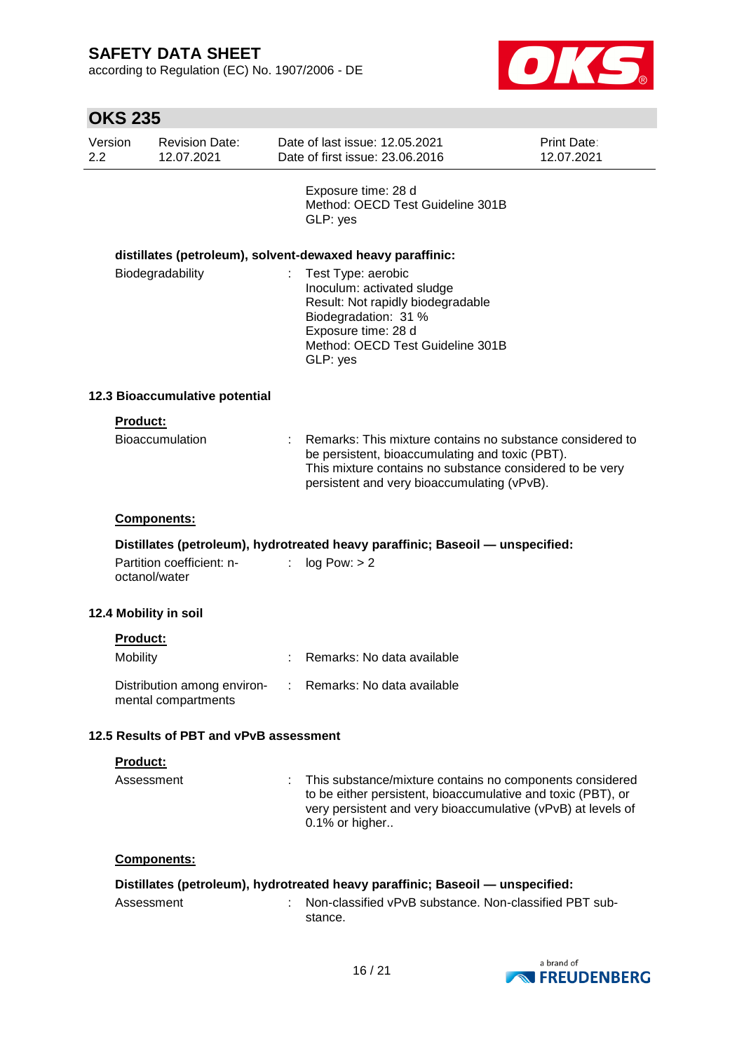according to Regulation (EC) No. 1907/2006 - DE



| Version<br>2.2 |                 | <b>Revision Date:</b><br>12.07.2021        |    | Date of last issue: 12.05.2021<br><b>Print Date:</b><br>Date of first issue: 23.06.2016<br>12.07.2021                                                                                                                   |  |  |
|----------------|-----------------|--------------------------------------------|----|-------------------------------------------------------------------------------------------------------------------------------------------------------------------------------------------------------------------------|--|--|
|                |                 |                                            |    | Exposure time: 28 d<br>Method: OECD Test Guideline 301B<br>GLP: yes                                                                                                                                                     |  |  |
|                |                 |                                            |    | distillates (petroleum), solvent-dewaxed heavy paraffinic:                                                                                                                                                              |  |  |
|                |                 | Biodegradability                           |    | Test Type: aerobic<br>Inoculum: activated sludge<br>Result: Not rapidly biodegradable<br>Biodegradation: 31 %<br>Exposure time: 28 d<br>Method: OECD Test Guideline 301B<br>GLP: yes                                    |  |  |
|                |                 | 12.3 Bioaccumulative potential             |    |                                                                                                                                                                                                                         |  |  |
|                | Product:        |                                            |    |                                                                                                                                                                                                                         |  |  |
|                |                 | <b>Bioaccumulation</b>                     |    | Remarks: This mixture contains no substance considered to<br>be persistent, bioaccumulating and toxic (PBT).<br>This mixture contains no substance considered to be very<br>persistent and very bioaccumulating (vPvB). |  |  |
|                |                 | Components:                                |    |                                                                                                                                                                                                                         |  |  |
|                |                 | Partition coefficient: n-<br>octanol/water | ÷. | Distillates (petroleum), hydrotreated heavy paraffinic; Baseoil - unspecified:<br>log Pow: > 2                                                                                                                          |  |  |
|                |                 | 12.4 Mobility in soil                      |    |                                                                                                                                                                                                                         |  |  |
|                | Product:        |                                            |    |                                                                                                                                                                                                                         |  |  |
|                | Mobility        |                                            |    | Remarks: No data available                                                                                                                                                                                              |  |  |
|                |                 | mental compartments                        |    | Distribution among environ- : Remarks: No data available                                                                                                                                                                |  |  |
|                |                 | 12.5 Results of PBT and vPvB assessment    |    |                                                                                                                                                                                                                         |  |  |
|                | <b>Product:</b> |                                            |    |                                                                                                                                                                                                                         |  |  |
|                | Assessment      |                                            |    | This substance/mixture contains no components considered<br>to be either persistent, bioaccumulative and toxic (PBT), or<br>very persistent and very bioaccumulative (vPvB) at levels of<br>0.1% or higher              |  |  |
|                |                 | Components:                                |    |                                                                                                                                                                                                                         |  |  |
|                |                 |                                            |    | Distillates (petroleum), hydrotreated heavy paraffinic; Baseoil - unspecified:                                                                                                                                          |  |  |
|                | Assessment      |                                            |    | Non-classified vPvB substance. Non-classified PBT sub-<br>stance.                                                                                                                                                       |  |  |

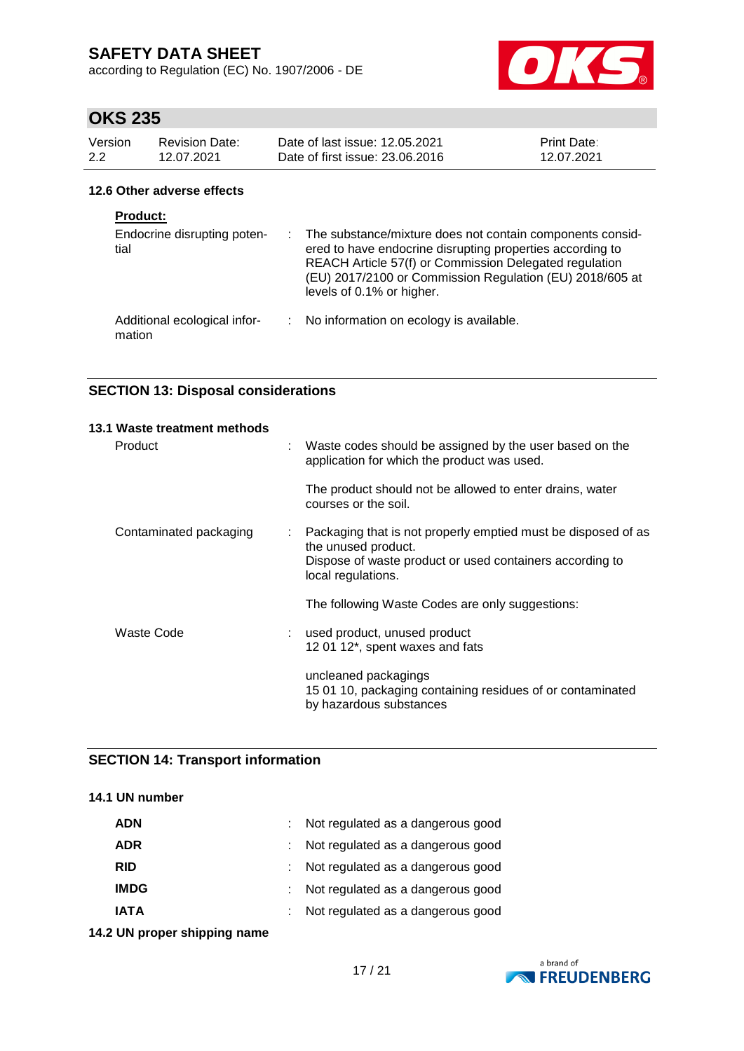according to Regulation (EC) No. 1907/2006 - DE



# **OKS 235**

| <b>Revision Date:</b><br>Version<br>2.2<br>12.07.2021 |                             | Date of last issue: 12.05.2021<br>Date of first issue: 23,06,2016 | <b>Print Date:</b><br>12.07.2021 |  |
|-------------------------------------------------------|-----------------------------|-------------------------------------------------------------------|----------------------------------|--|
| 12.6 Other adverse effects                            |                             |                                                                   |                                  |  |
| <b>Product:</b>                                       |                             |                                                                   |                                  |  |
|                                                       | Endocrine disrupting poten- | The substance/mixture does not contain components consid-         |                                  |  |

| Endocrine disrupting poten-<br>tial    |      | : The substance/mixture does not contain components consid-<br>ered to have endocrine disrupting properties according to<br>REACH Article 57(f) or Commission Delegated regulation<br>(EU) 2017/2100 or Commission Regulation (EU) 2018/605 at<br>levels of 0.1% or higher. |
|----------------------------------------|------|-----------------------------------------------------------------------------------------------------------------------------------------------------------------------------------------------------------------------------------------------------------------------------|
| Additional ecological infor-<br>mation | di l | No information on ecology is available.                                                                                                                                                                                                                                     |

## **SECTION 13: Disposal considerations**

| 13.1 Waste treatment methods |   |                                                                                                                                                                        |
|------------------------------|---|------------------------------------------------------------------------------------------------------------------------------------------------------------------------|
| Product                      | ÷ | Waste codes should be assigned by the user based on the<br>application for which the product was used.                                                                 |
|                              |   | The product should not be allowed to enter drains, water<br>courses or the soil.                                                                                       |
| Contaminated packaging       | ÷ | Packaging that is not properly emptied must be disposed of as<br>the unused product.<br>Dispose of waste product or used containers according to<br>local regulations. |
|                              |   | The following Waste Codes are only suggestions:                                                                                                                        |
| Waste Code                   |   | used product, unused product<br>12 01 12*, spent waxes and fats                                                                                                        |
|                              |   | uncleaned packagings<br>15 01 10, packaging containing residues of or contaminated<br>by hazardous substances                                                          |

### **SECTION 14: Transport information**

### **14.1 UN number**

| <b>ADR</b><br>: Not regulated as a dangerous good<br>: Not regulated as a dangerous good<br><b>RID</b><br>: Not regulated as a dangerous good<br><b>IMDG</b><br>: Not regulated as a dangerous good<br><b>IATA</b> | <b>ADN</b> | : Not regulated as a dangerous good |
|--------------------------------------------------------------------------------------------------------------------------------------------------------------------------------------------------------------------|------------|-------------------------------------|
|                                                                                                                                                                                                                    |            |                                     |
|                                                                                                                                                                                                                    |            |                                     |
|                                                                                                                                                                                                                    |            |                                     |
|                                                                                                                                                                                                                    |            |                                     |

**14.2 UN proper shipping name**

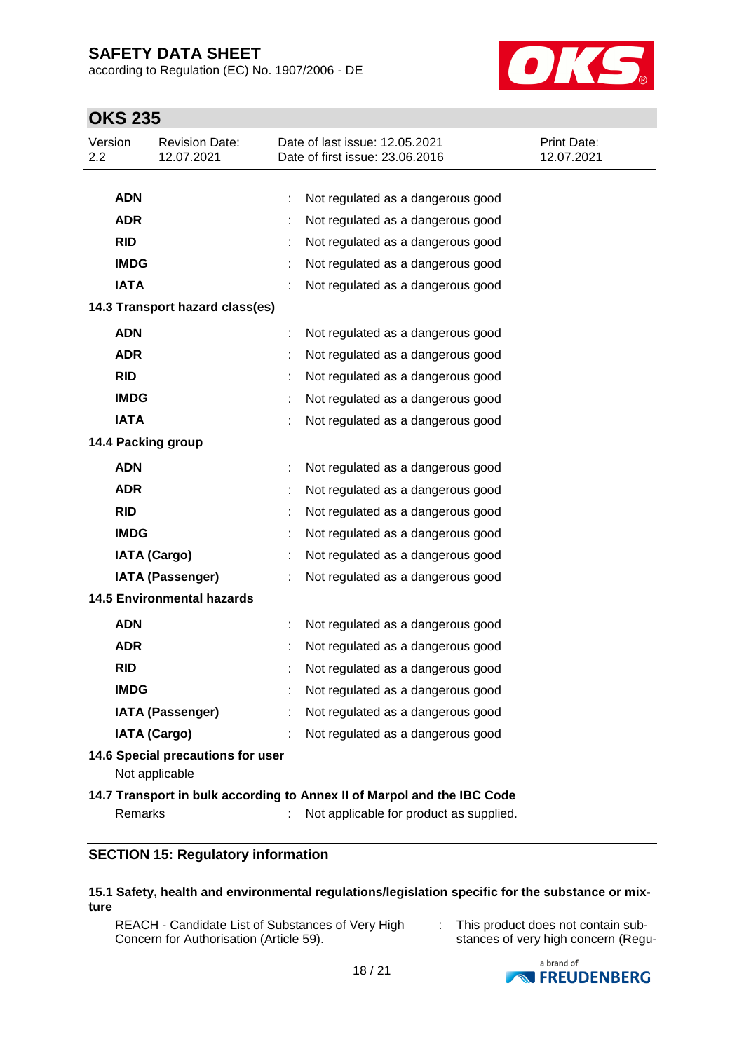according to Regulation (EC) No. 1907/2006 - DE



# **OKS 235**

| Version<br>2.2     |                                                                         | <b>Revision Date:</b><br>12.07.2021 |   | Date of last issue: 12.05.2021<br>Date of first issue: 23.06.2016 | <b>Print Date:</b><br>12.07.2021 |  |
|--------------------|-------------------------------------------------------------------------|-------------------------------------|---|-------------------------------------------------------------------|----------------------------------|--|
|                    |                                                                         |                                     |   |                                                                   |                                  |  |
|                    | <b>ADN</b>                                                              |                                     |   | Not regulated as a dangerous good                                 |                                  |  |
|                    | <b>ADR</b>                                                              |                                     |   | Not regulated as a dangerous good                                 |                                  |  |
|                    | <b>RID</b>                                                              |                                     |   | Not regulated as a dangerous good                                 |                                  |  |
|                    | <b>IMDG</b>                                                             |                                     |   | Not regulated as a dangerous good                                 |                                  |  |
|                    | <b>IATA</b>                                                             |                                     |   | Not regulated as a dangerous good                                 |                                  |  |
|                    |                                                                         | 14.3 Transport hazard class(es)     |   |                                                                   |                                  |  |
|                    | <b>ADN</b>                                                              |                                     | ÷ | Not regulated as a dangerous good                                 |                                  |  |
|                    | <b>ADR</b>                                                              |                                     |   | Not regulated as a dangerous good                                 |                                  |  |
|                    | <b>RID</b>                                                              |                                     |   | Not regulated as a dangerous good                                 |                                  |  |
|                    | <b>IMDG</b>                                                             |                                     |   | Not regulated as a dangerous good                                 |                                  |  |
|                    | <b>IATA</b>                                                             |                                     |   | Not regulated as a dangerous good                                 |                                  |  |
| 14.4 Packing group |                                                                         |                                     |   |                                                                   |                                  |  |
|                    | <b>ADN</b>                                                              |                                     |   | Not regulated as a dangerous good                                 |                                  |  |
|                    | <b>ADR</b>                                                              |                                     |   | Not regulated as a dangerous good                                 |                                  |  |
|                    | <b>RID</b>                                                              |                                     |   | Not regulated as a dangerous good                                 |                                  |  |
|                    | <b>IMDG</b>                                                             |                                     |   | Not regulated as a dangerous good                                 |                                  |  |
|                    |                                                                         | <b>IATA (Cargo)</b>                 |   | Not regulated as a dangerous good                                 |                                  |  |
|                    |                                                                         | IATA (Passenger)                    |   | Not regulated as a dangerous good                                 |                                  |  |
|                    |                                                                         | <b>14.5 Environmental hazards</b>   |   |                                                                   |                                  |  |
|                    | <b>ADN</b>                                                              |                                     |   | Not regulated as a dangerous good                                 |                                  |  |
|                    | <b>ADR</b>                                                              |                                     |   | Not regulated as a dangerous good                                 |                                  |  |
|                    | <b>RID</b>                                                              |                                     |   | Not regulated as a dangerous good                                 |                                  |  |
|                    | <b>IMDG</b>                                                             |                                     |   | Not regulated as a dangerous good                                 |                                  |  |
|                    |                                                                         | <b>IATA (Passenger)</b>             |   | Not regulated as a dangerous good                                 |                                  |  |
|                    |                                                                         | <b>IATA (Cargo)</b>                 |   | Not regulated as a dangerous good                                 |                                  |  |
|                    |                                                                         | 14.6 Special precautions for user   |   |                                                                   |                                  |  |
|                    |                                                                         | Not applicable                      |   |                                                                   |                                  |  |
|                    | 14.7 Transport in bulk according to Annex II of Marpol and the IBC Code |                                     |   |                                                                   |                                  |  |
|                    | Remarks                                                                 |                                     |   | Not applicable for product as supplied.                           |                                  |  |

### **SECTION 15: Regulatory information**

#### **15.1 Safety, health and environmental regulations/legislation specific for the substance or mixture**

REACH - Candidate List of Substances of Very High Concern for Authorisation (Article 59).

: This product does not contain substances of very high concern (Regu-

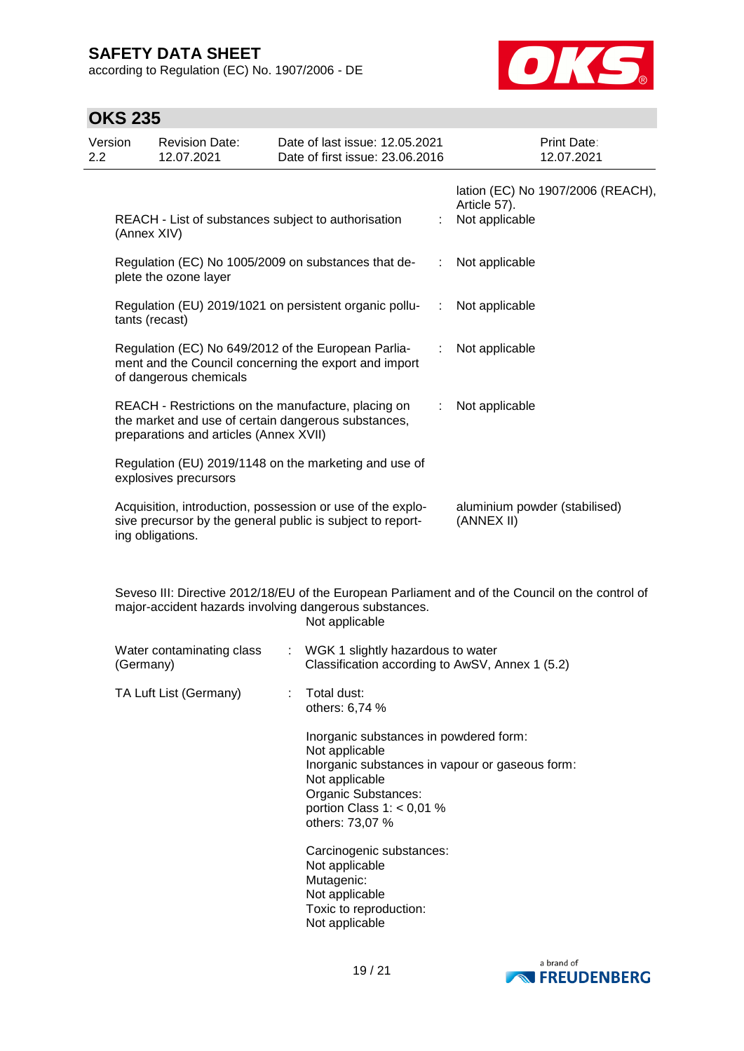according to Regulation (EC) No. 1907/2006 - DE



| <b>OKS 235</b> |  |
|----------------|--|
|----------------|--|

| Version<br>2.2 | <b>Revision Date:</b><br>12.07.2021    | Date of last issue: 12.05.2021<br>Date of first issue: 23.06.2016                                                                                   |   | Print Date:<br>12.07.2021                                                                        |
|----------------|----------------------------------------|-----------------------------------------------------------------------------------------------------------------------------------------------------|---|--------------------------------------------------------------------------------------------------|
|                | (Annex XIV)                            | REACH - List of substances subject to authorisation                                                                                                 |   | lation (EC) No 1907/2006 (REACH),<br>Article 57).<br>Not applicable                              |
|                | plete the ozone layer                  | Regulation (EC) No 1005/2009 on substances that de-                                                                                                 |   | Not applicable                                                                                   |
|                | tants (recast)                         | Regulation (EU) 2019/1021 on persistent organic pollu-                                                                                              |   | Not applicable                                                                                   |
|                | of dangerous chemicals                 | Regulation (EC) No 649/2012 of the European Parlia-<br>ment and the Council concerning the export and import                                        |   | Not applicable                                                                                   |
|                | preparations and articles (Annex XVII) | REACH - Restrictions on the manufacture, placing on<br>the market and use of certain dangerous substances,                                          | ÷ | Not applicable                                                                                   |
|                | explosives precursors                  | Regulation (EU) 2019/1148 on the marketing and use of                                                                                               |   |                                                                                                  |
|                | ing obligations.                       | Acquisition, introduction, possession or use of the explo-<br>sive precursor by the general public is subject to report-                            |   | aluminium powder (stabilised)<br>(ANNEX II)                                                      |
|                |                                        | major-accident hazards involving dangerous substances.<br>Not applicable                                                                            |   | Seveso III: Directive 2012/18/EU of the European Parliament and of the Council on the control of |
|                | Water contaminating class<br>(Germany) | WGK 1 slightly hazardous to water                                                                                                                   |   | Classification according to AwSV, Annex 1 (5.2)                                                  |
|                | TA Luft List (Germany)                 | Total dust:<br>others: 6,74 %                                                                                                                       |   |                                                                                                  |
|                |                                        | Inorganic substances in powdered form:<br>Not applicable<br>Not applicable<br>Organic Substances:<br>portion Class $1: < 0.01$ %<br>others: 73,07 % |   | Inorganic substances in vapour or gaseous form:                                                  |
|                |                                        | Carcinogenic substances:<br>Not applicable<br>Mutagenic:<br>Not applicable<br>Toxic to reproduction:<br>Not applicable                              |   |                                                                                                  |

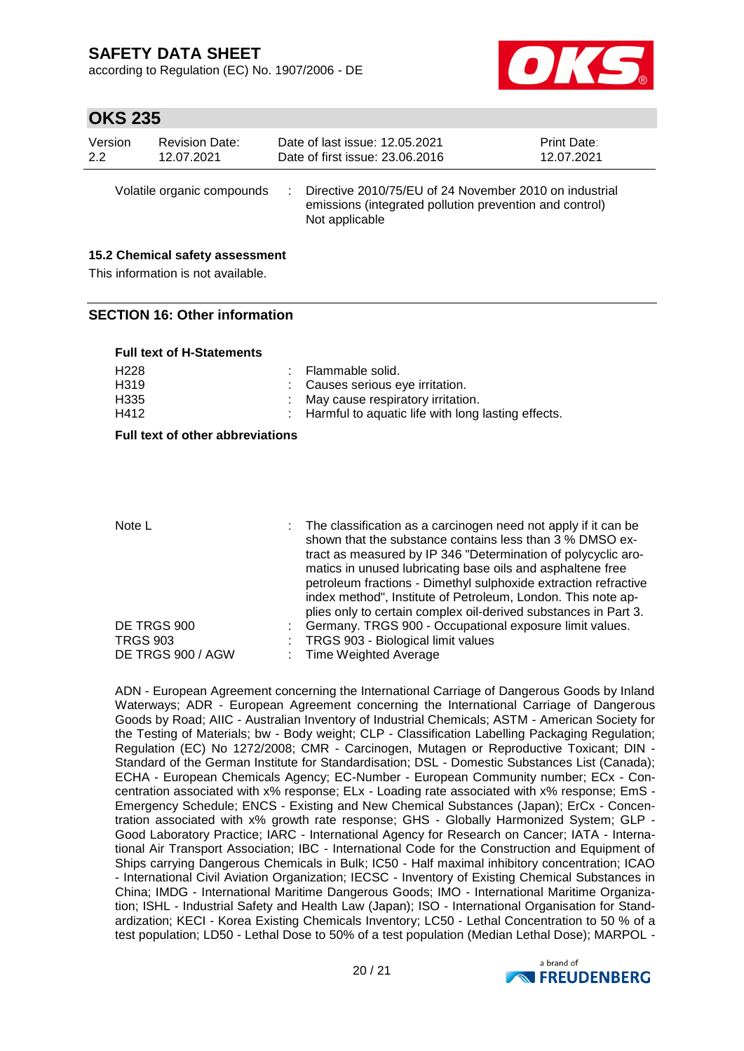according to Regulation (EC) No. 1907/2006 - DE



## **OKS 235**

| Version | <b>Revision Date:</b>      | Date of last issue: 12.05.2021                                                                                                      | <b>Print Date:</b> |
|---------|----------------------------|-------------------------------------------------------------------------------------------------------------------------------------|--------------------|
| 2.2     | 12.07.2021                 | Date of first issue: 23.06.2016                                                                                                     | 12.07.2021         |
|         | Volatile organic compounds | Directive 2010/75/EU of 24 November 2010 on industrial<br>emissions (integrated pollution prevention and control)<br>Not applicable |                    |

### **15.2 Chemical safety assessment**

This information is not available.

### **SECTION 16: Other information**

|  |  | <b>Full text of H-Statements</b> |
|--|--|----------------------------------|
|  |  |                                  |

| H228 | : Flammable solid.                                   |
|------|------------------------------------------------------|
| H319 | : Causes serious eve irritation.                     |
| H335 | : May cause respiratory irritation.                  |
| H412 | : Harmful to aquatic life with long lasting effects. |

### **Full text of other abbreviations**

Note L **interpresent in the classification as a carcinogen need not apply if it can be** shown that the substance contains less than 3 % DMSO extract as measured by IP 346 "Determination of polycyclic aromatics in unused lubricating base oils and asphaltene free petroleum fractions - Dimethyl sulphoxide extraction refractive index method", Institute of Petroleum, London. This note applies only to certain complex oil-derived substances in Part 3. DE TRGS 900 : Germany. TRGS 900 - Occupational exposure limit values. TRGS 903 : TRGS 903 - Biological limit values DE TRGS 900 / AGW : Time Weighted Average

ADN - European Agreement concerning the International Carriage of Dangerous Goods by Inland Waterways; ADR - European Agreement concerning the International Carriage of Dangerous Goods by Road; AIIC - Australian Inventory of Industrial Chemicals; ASTM - American Society for the Testing of Materials; bw - Body weight; CLP - Classification Labelling Packaging Regulation; Regulation (EC) No 1272/2008; CMR - Carcinogen, Mutagen or Reproductive Toxicant; DIN - Standard of the German Institute for Standardisation; DSL - Domestic Substances List (Canada); ECHA - European Chemicals Agency; EC-Number - European Community number; ECx - Concentration associated with x% response; ELx - Loading rate associated with x% response; EmS - Emergency Schedule; ENCS - Existing and New Chemical Substances (Japan); ErCx - Concentration associated with x% growth rate response; GHS - Globally Harmonized System; GLP - Good Laboratory Practice; IARC - International Agency for Research on Cancer; IATA - International Air Transport Association; IBC - International Code for the Construction and Equipment of Ships carrying Dangerous Chemicals in Bulk; IC50 - Half maximal inhibitory concentration; ICAO - International Civil Aviation Organization; IECSC - Inventory of Existing Chemical Substances in China; IMDG - International Maritime Dangerous Goods; IMO - International Maritime Organization; ISHL - Industrial Safety and Health Law (Japan); ISO - International Organisation for Standardization; KECI - Korea Existing Chemicals Inventory; LC50 - Lethal Concentration to 50 % of a test population; LD50 - Lethal Dose to 50% of a test population (Median Lethal Dose); MARPOL -